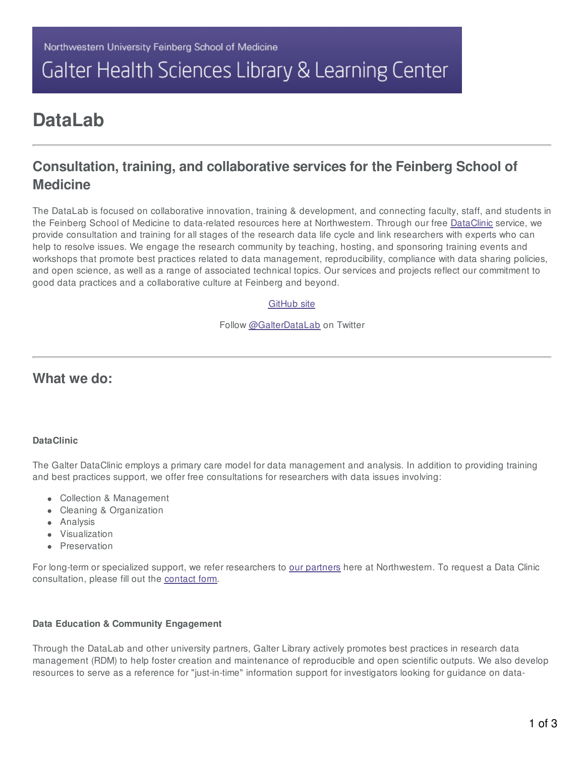# Galter Health Sciences Library & Learning Center

## **DataLab**

### **Consultation, training, and collaborative services for the Feinberg School of Medicine**

The DataLab is focused on collaborative innovation, training & development, and connecting faculty, staff, and students in the Feinberg School of Medicine to data-related resources here at Northwestern. Through our free [DataClinic](https://galter.northwestern.edu/about-us/datalab/#sectionTitle10022) service, we provide consultation and training for all stages of the research data life cycle and link researchers with experts who can help to resolve issues. We engage the research community by teaching, hosting, and sponsoring training events and workshops that promote best practices related to data management, reproducibility, compliance with data sharing policies, and open science, as well as a range of associated technical topics. Our services and projects reflect our commitment to good data practices and a collaborative culture at Feinberg and beyond.

### [GitHub](https://github.com/galterdatalab) site

Follow [@GalterDataLab](https://twitter.com/GalterDataLab?ref_src=twsrc%5Etfw) on Twitter

### **What we do:**

### **DataClinic**

The Galter DataClinic employs a primary care model for data management and analysis. In addition to providing training and best practices support, we offer free consultations for researchers with data issues involving:

- Collection & Management
- Cleaning & Organization
- Analysis
- Visualization
- **•** Preservation

For long-term or specialized support, we refer researchers to our [partners](https://galter.northwestern.edu/about-us/datalab/#sectionTitle10023) here at Northwestern. To request a Data Clinic consultation, please fill out the [contact](https://galter.northwestern.edu/contact/data/clinic) form.

### **Data Education & Community Engagement**

Through the DataLab and other university partners, Galter Library actively promotes best practices in research data management (RDM) to help foster creation and maintenance of reproducible and open scientific outputs. We also develop resources to serve as a reference for "just-in-time" information support for investigators looking for guidance on data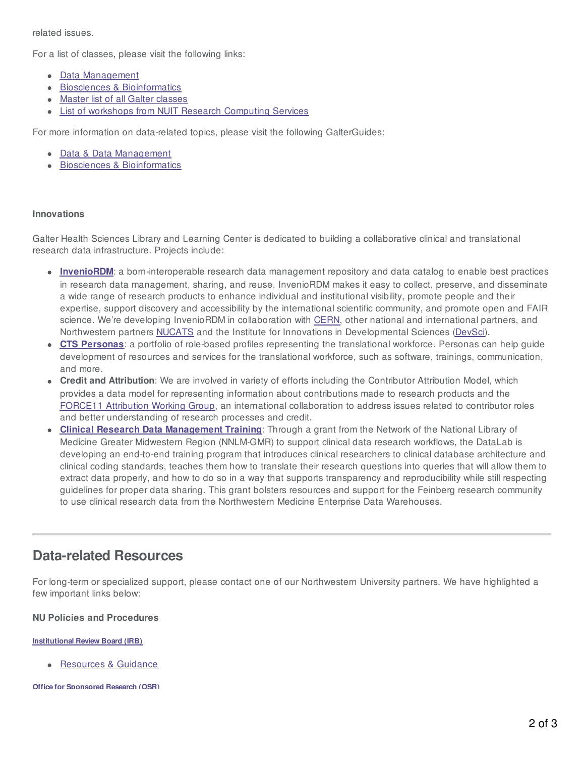related issues.

For a list of classes, please visit the following links:

- Data [Management](https://galter.northwestern.edu/subject_info/8)
- Biosciences & [Bioinformatics](https://galter.northwestern.edu/subject_info/5)
- Master list of all Galter [classes](https://galter.northwestern.edu/classes)
- **.** List of workshops from NUIT Research [Computing](https://www.it.northwestern.edu/research/training.html) Services

For more information on data-related topics, please visit the following GalterGuides:

- Data & Data [Management](https://galter.northwestern.edu/galterguides?url=https%3A%2F%2Flibguides.galter.northwestern.edu%2Fdata-management)
- Biosciences & [Bioinformatics](https://galter.northwestern.edu/galterguides?url=https%3A%2F%2Flibguides.galter.northwestern.edu%2Fbiosciences-bioinformatics)

### **Innovations**

Galter Health Sciences Library and Learning Center is dedicated to building a collaborative clinical and translational research data infrastructure. Projects include:

- **[InvenioRDM](http://inveniosoftware.org/products/rdm/)**: a born-interoperable research data management repository and data catalog to enable best practices in research data management, sharing, and reuse. InvenioRDM makes it easy to collect, preserve, and disseminate a wide range of research products to enhance individual and institutional visibility, promote people and their expertise, support discovery and accessibility by the international scientific community, and promote open and FAIR science. We're developing InvenioRDM in collaboration with [CERN,](https://home.cern/) other national and international partners, and Northwestern partners [NUCATS](https://www.nucats.northwestern.edu/) and the Institute for Innovations in Developmental Sciences ([DevSci](https://devsci.northwestern.edu/)).
- **CTS [Personas](http://data2health.github.io/CTS-Personas/)**: a portfolio of role-based profiles representing the translational workforce. Personas can help guide development of resources and services for the translational workforce, such as software, trainings, communication, and more.
- **Credit and Attribution**: We are involved in variety of efforts including the Contributor Attribution Model, which provides a data model for representing information about contributions made to research products and the FORCE11 [Attribution](https://force11.org/groups/attribution-working-group/) Working Group, an international collaboration to address issues related to contributor roles and better understanding of research processes and credit.
- **Clinical Research Data [Management](http://galterdatalab.github.io/crdm-training/pages/training.html) Training**: Through a grant from the Network of the National Library of Medicine Greater Midwestern Region (NNLM-GMR) to support clinical data research workflows, the DataLab is developing an end-to-end training program that introduces clinical researchers to clinical database architecture and clinical coding standards, teaches them how to translate their research questions into queries that will allow them to extract data properly, and how to do so in a way that supports transparency and reproducibility while still respecting guidelines for proper data sharing. This grant bolsters resources and support for the Feinberg research community to use clinical research data from the Northwestern Medicine Enterprise Data Warehouses.

### **Data-related Resources**

For long-term or specialized support, please contact one of our Northwestern University partners. We have highlighted a few important links below:

### **NU Policies and Procedures**

### **[Institutional](https://irb.northwestern.edu/) Review Board (IRB)**

[Resources](https://irb.northwestern.edu/resources-guidance/index.html) & Guidance

**Office for [Sponsored](https://osr.northwestern.edu/) Research (OSR)**